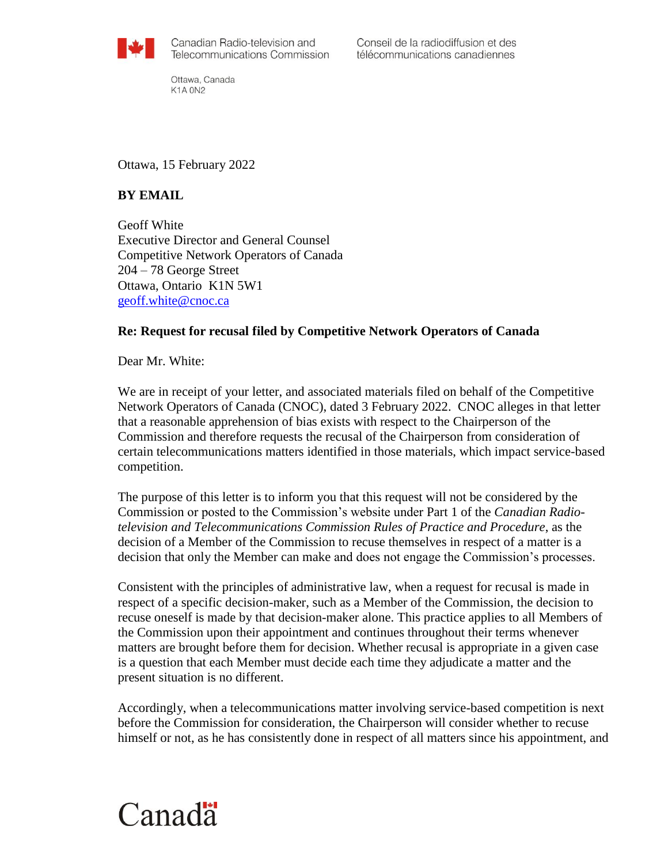

Conseil de la radiodiffusion et des télécommunications canadiennes

Ottawa, Canada K1A ON2

## Ottawa, 15 February 2022

## **BY EMAIL**

Geoff White Executive Director and General Counsel Competitive Network Operators of Canada 204 – 78 George Street Ottawa, Ontario K1N 5W1 [geoff.white@cnoc.ca](mailto:geoff.white@cnoc.ca)

## **Re: Request for recusal filed by Competitive Network Operators of Canada**

Dear Mr. White:

We are in receipt of your letter, and associated materials filed on behalf of the Competitive Network Operators of Canada (CNOC), dated 3 February 2022. CNOC alleges in that letter that a reasonable apprehension of bias exists with respect to the Chairperson of the Commission and therefore requests the recusal of the Chairperson from consideration of certain telecommunications matters identified in those materials, which impact service-based competition.

The purpose of this letter is to inform you that this request will not be considered by the Commission or posted to the Commission's website under Part 1 of the *Canadian Radiotelevision and Telecommunications Commission Rules of Practice and Procedure*, as the decision of a Member of the Commission to recuse themselves in respect of a matter is a decision that only the Member can make and does not engage the Commission's processes.

Consistent with the principles of administrative law, when a request for recusal is made in respect of a specific decision-maker, such as a Member of the Commission, the decision to recuse oneself is made by that decision-maker alone. This practice applies to all Members of the Commission upon their appointment and continues throughout their terms whenever matters are brought before them for decision. Whether recusal is appropriate in a given case is a question that each Member must decide each time they adjudicate a matter and the present situation is no different.

Accordingly, when a telecommunications matter involving service-based competition is next before the Commission for consideration, the Chairperson will consider whether to recuse himself or not, as he has consistently done in respect of all matters since his appointment, and

## Canadä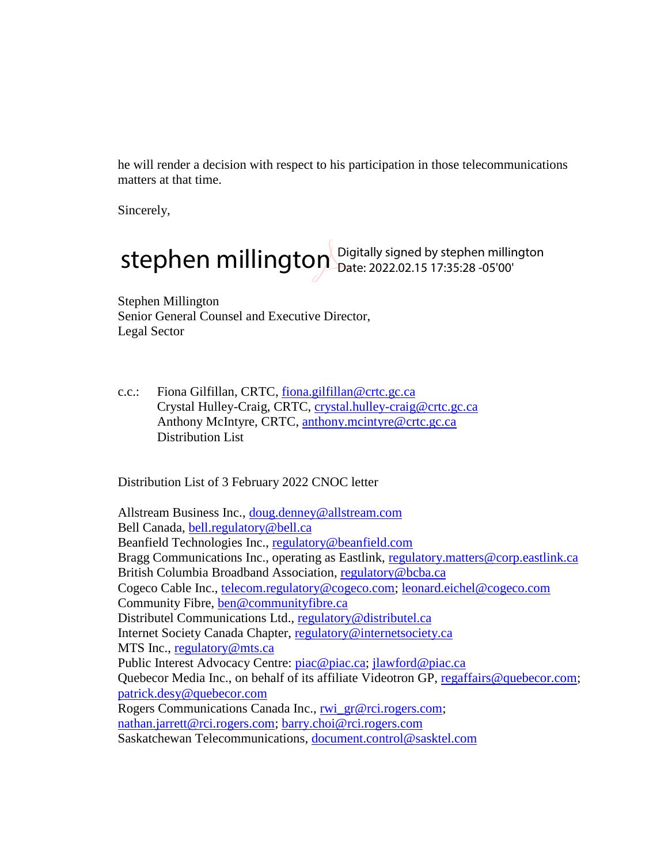he will render a decision with respect to his participation in those telecommunications matters at that time.

Sincerely,

stephen millington Digitally signed by stephen millington

Stephen Millington Senior General Counsel and Executive Director, Legal Sector

c.c.: Fiona Gilfillan, CRTC, [fiona.gilfillan@crtc.gc.ca](mailto:fiona.gilfillan@crtc.gc.ca) Crystal Hulley-Craig, CRTC, [crystal.hulley-craig@crtc.gc.ca](mailto:crystal.hulley-craig@crtc.gc.ca)  Anthony McIntyre, CRTC, [anthony.mcintyre@crtc.gc.ca](mailto:anthony.mcintyre@crtc.gc.ca) Distribution List

Distribution List of 3 February 2022 CNOC letter

Allstream Business Inc., [doug.denney@allstream.com](mailto:doug.denney@allstream.com) Bell Canada, [bell.regulatory@bell.ca](mailto:bell.regulatory@bell.ca) Beanfield Technologies Inc., [regulatory@beanfield.com](mailto:regulatory@beanfield.com) Bragg Communications Inc., operating as Eastlink, [regulatory.matters@corp.eastlink.ca](mailto:regulatory.matters@corp.eastlink.ca) British Columbia Broadband Association, [regulatory@bcba.ca](mailto:regulatory@bcba.ca) Cogeco Cable Inc., [telecom.regulatory@cogeco.com;](mailto:telecom.regulatory@cogeco.com) [leonard.eichel@cogeco.com](mailto:leonard.eichel@cogeco.com) Community Fibre, [ben@communityfibre.ca](mailto:ben@communityfibre.ca) Distributel Communications Ltd., [regulatory@distributel.ca](mailto:regulatory@distributel.ca) Internet Society Canada Chapter, [regulatory@internetsociety.ca](mailto:regulatory@internetsociety.ca) MTS Inc., [regulatory@mts.ca](mailto:regulatory@mts.ca) Public Interest Advocacy Centre: [piac@piac.ca;](mailto:piac@piac.ca) [jlawford@piac.ca](mailto:jlawford@piac.ca) Quebecor Media Inc., on behalf of its affiliate Videotron GP, [regaffairs@quebecor.com;](mailto:regaffairs@quebecor.com) [patrick.desy@quebecor.com](mailto:patrick.desy@quebecor.com) Rogers Communications Canada Inc., [rwi\\_gr@rci.rogers.com;](mailto:rwi_gr@rci.rogers.com) [nathan.jarrett@rci.rogers.com;](mailto:nathan.jarrett@rci.rogers.com) [barry.choi@rci.rogers.com](mailto:barry.choi@rci.rogers.com) Saskatchewan Telecommunications, [document.control@sasktel.com](mailto:document.control@sasktel.com)